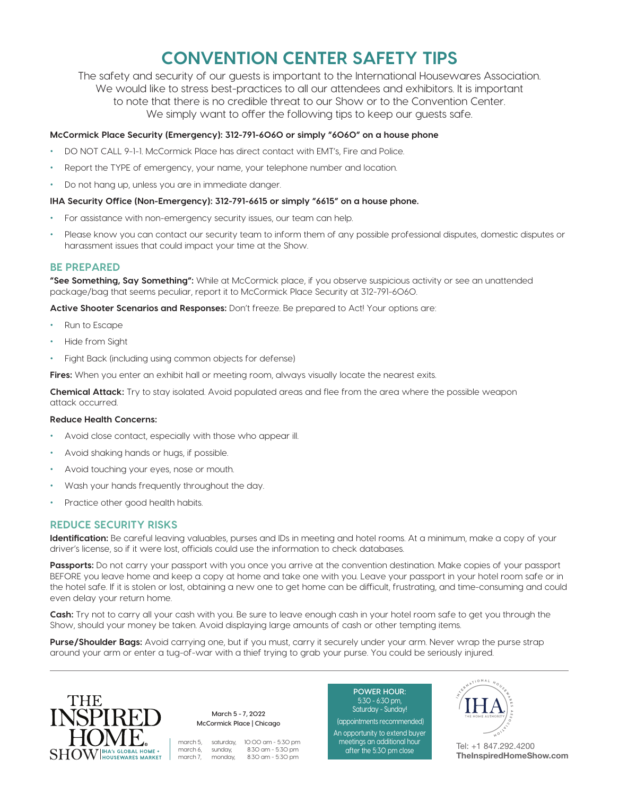## **CONVENTION CENTER SAFETY TIPS**

The safety and security of our guests is important to the International Housewares Association. We would like to stress best-practices to all our attendees and exhibitors. It is important to note that there is no credible threat to our Show or to the Convention Center. We simply want to offer the following tips to keep our guests safe.

#### **McCormick Place Security (Emergency): 312-791-6060 or simply "6060" on a house phone**

- DO NOT CALL 9-1-1. McCormick Place has direct contact with EMT's, Fire and Police.
- Report the TYPE of emergency, your name, your telephone number and location.
- Do not hang up, unless you are in immediate danger.

#### **IHA Security Office (Non-Emergency): 312-791-6615 or simply "6615" on a house phone.**

- For assistance with non-emergency security issues, our team can help.
- Please know you can contact our security team to inform them of any possible professional disputes, domestic disputes or harassment issues that could impact your time at the Show.

## **BE PREPARED**

**"See Something, Say Something":** While at McCormick place, if you observe suspicious activity or see an unattended package/bag that seems peculiar, report it to McCormick Place Security at 312-791-6060.

**Active Shooter Scenarios and Responses:** Don't freeze. Be prepared to Act! Your options are:

- Run to Escape
- Hide from Sight
- Fight Back (including using common objects for defense)

**Fires:** When you enter an exhibit hall or meeting room, always visually locate the nearest exits.

**Chemical Attack:** Try to stay isolated. Avoid populated areas and flee from the area where the possible weapon attack occurred.

#### **Reduce Health Concerns:**

- Avoid close contact, especially with those who appear ill.
- Avoid shaking hands or hugs, if possible.
- Avoid touching your eyes, nose or mouth.
- Wash your hands frequently throughout the day.
- Practice other good health habits.

## **REDUCE SECURITY RISKS**

**Identification:** Be careful leaving valuables, purses and IDs in meeting and hotel rooms. At a minimum, make a copy of your driver's license, so if it were lost, officials could use the information to check databases.

Passports: Do not carry your passport with you once you arrive at the convention destination. Make copies of your passport BEFORE you leave home and keep a copy at home and take one with you. Leave your passport in your hotel room safe or in the hotel safe. If it is stolen or lost, obtaining a new one to get home can be difficult, frustrating, and time-consuming and could even delay your return home.

**Cash:** Try not to carry all your cash with you. Be sure to leave enough cash in your hotel room safe to get you through the Show, should your money be taken. Avoid displaying large amounts of cash or other tempting items.

**Purse/Shoulder Bags:** Avoid carrying one, but if you must, carry it securely under your arm. Never wrap the purse strap around your arm or enter a tug-of-war with a thief trying to grab your purse. You could be seriously injured.



**March 5 - 7, 2022 McCormick Place | Chicago**

march 5, saturday, 10:00 am - 5:30 pm march 6, sunday, 8:30 am - 5:30 pm march 7, monday, 8:30 am - 5:30 pm

**POWER HOUR:** 5:30 - 6:30 pm, Saturday - Sunday!

 (appointments recommended) An opportunity to extend buyer meetings an additional hour after the 5:30 pm close



Tel: +1 847.292.4200 **TheInspiredHomeShow.com**